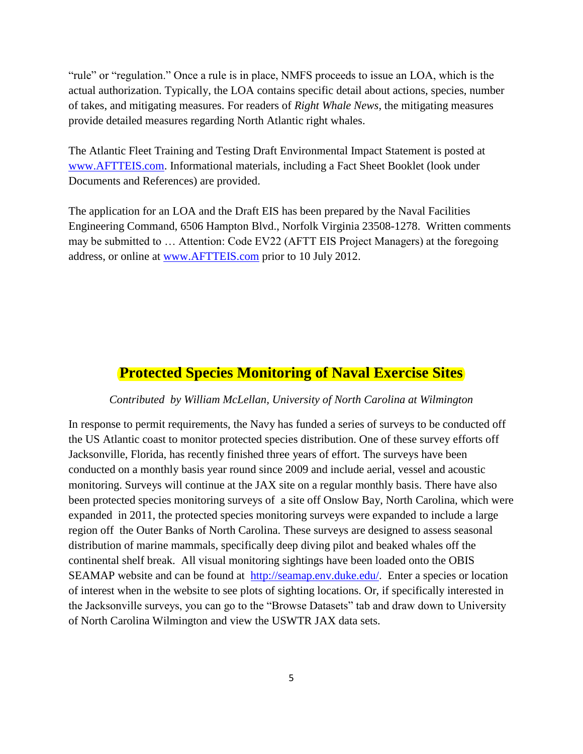"rule" or "regulation." Once a rule is in place, NMFS proceeds to issue an LOA, which is the actual authorization. Typically, the LOA contains specific detail about actions, species, number of takes, and mitigating measures. For readers of *Right Whale News*, the mitigating measures provide detailed measures regarding North Atlantic right whales.

The Atlantic Fleet Training and Testing Draft Environmental Impact Statement is posted at [www.AFTTEIS.com.](http://www.aftteis.com/) Informational materials, including a Fact Sheet Booklet (look under Documents and References) are provided.

The application for an LOA and the Draft EIS has been prepared by the Naval Facilities Engineering Command, 6506 Hampton Blvd., Norfolk Virginia 23508-1278. Written comments may be submitted to … Attention: Code EV22 (AFTT EIS Project Managers) at the foregoing address, or online at [www.AFTTEIS.com](http://www.aftteis.com/) prior to 10 July 2012.

#### **Protected Species Monitoring of Naval Exercise Sites**

#### *Contributed by William McLellan, University of North Carolina at Wilmington*

In response to permit requirements, the Navy has funded a series of surveys to be conducted off the US Atlantic coast to monitor protected species distribution. One of these survey efforts off Jacksonville, Florida, has recently finished three years of effort. The surveys have been conducted on a monthly basis year round since 2009 and include aerial, vessel and acoustic monitoring. Surveys will continue at the JAX site on a regular monthly basis. There have also been protected species monitoring surveys of a site off Onslow Bay, North Carolina, which were expanded in 2011, the protected species monitoring surveys were expanded to include a large region off the Outer Banks of North Carolina. These surveys are designed to assess seasonal distribution of marine mammals, specifically deep diving pilot and beaked whales off the continental shelf break. All visual monitoring sightings have been loaded onto the OBIS SEAMAP website and can be found at [http://seamap.env.duke.edu/.](http://seamap.env.duke.edu/) Enter a species or location of interest when in the website to see plots of sighting locations. Or, if specifically interested in the Jacksonville surveys, you can go to the "Browse Datasets" tab and draw down to University of North Carolina Wilmington and view the USWTR JAX data sets.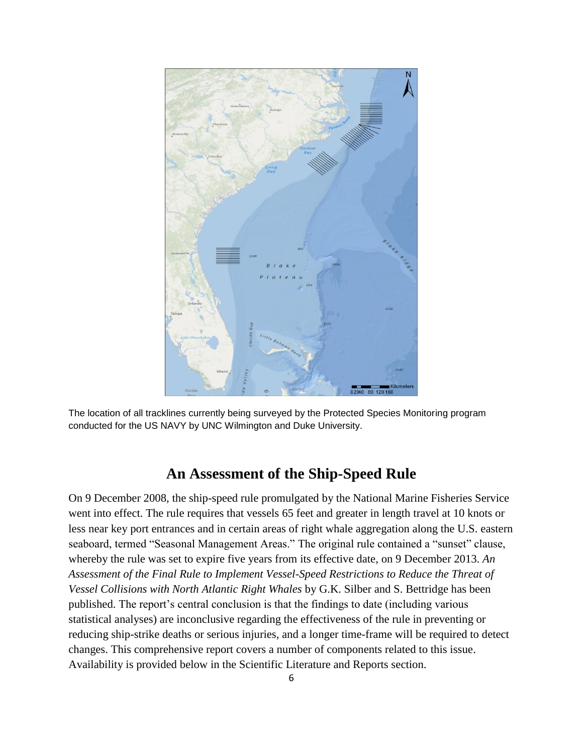

The location of all tracklines currently being surveyed by the Protected Species Monitoring program conducted for the US NAVY by UNC Wilmington and Duke University.

### **An Assessment of the Ship-Speed Rule**

On 9 December 2008, the ship-speed rule promulgated by the National Marine Fisheries Service went into effect. The rule requires that vessels 65 feet and greater in length travel at 10 knots or less near key port entrances and in certain areas of right whale aggregation along the U.S. eastern seaboard, termed "Seasonal Management Areas." The original rule contained a "sunset" clause, whereby the rule was set to expire five years from its effective date, on 9 December 2013. *An*  Assessment of the Final Rule to Implement Vessel-Speed Restrictions to Reduce the Threat of *Vessel Collisions with North Atlantic Right Whales* by G.K. Silber and S. Bettridge has been published. The report's central conclusion is that the findings to date (including various statistical analyses) are inconclusive regarding the effectiveness of the rule in preventing or reducing ship-strike deaths or serious injuries, and a longer time-frame will be required to detect changes. This comprehensive report covers a number of components related to this issue. Availability is provided below in the Scientific Literature and Reports section.